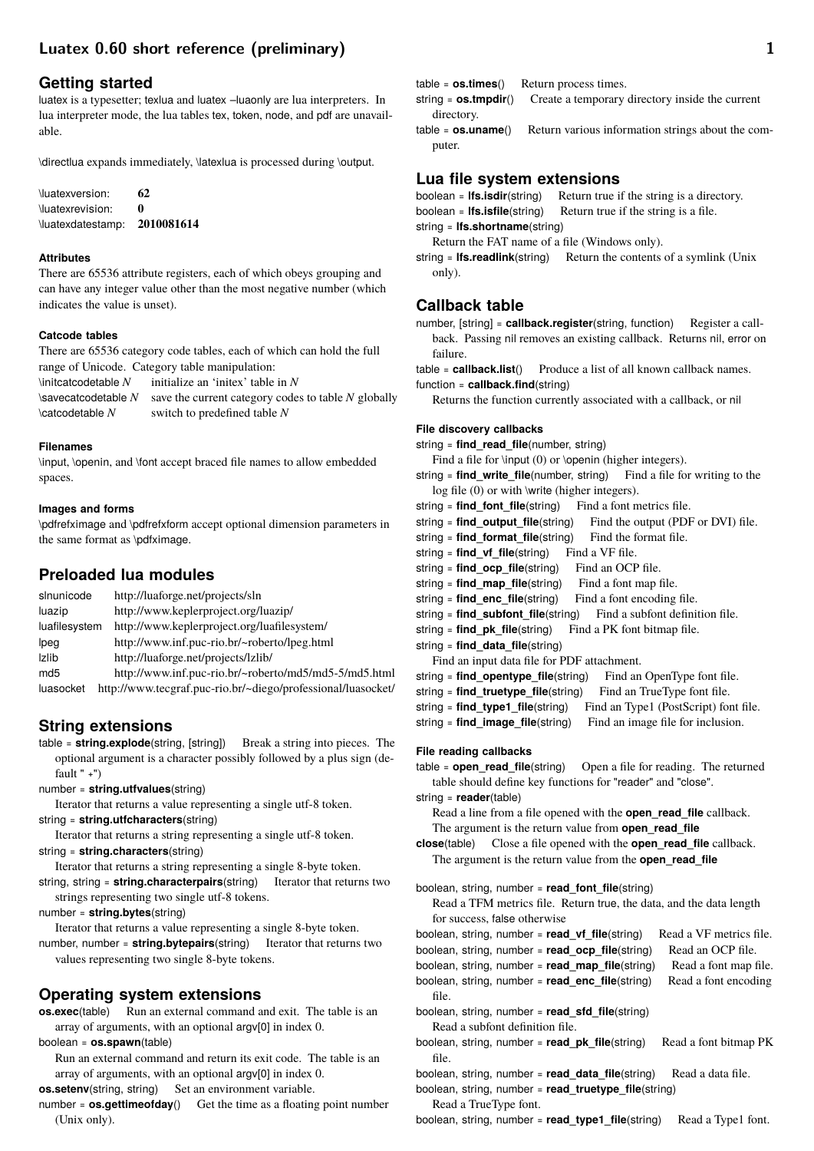## **Getting started**

luatex is a typesetter; texlua and luatex –luaonly are lua interpreters. In lua interpreter mode, the lua tables tex, token, node, and pdf are unavailable.

\directlua expands immediately, \latexlua is processed during \output.

\luatexversion: **62** \luatexrevision: **0** \luatexdatestamp: **2010081614**

### **Attributes**

There are 65536 attribute registers, each of which obeys grouping and can have any integer value other than the most negative number (which indicates the value is unset).

### **Catcode tables**

There are 65536 category code tables, each of which can hold the full range of Unicode. Category table manipulation:

\initcatcodetable *N* initialize an 'initex' table in *N*  $\simeq$   $\simeq$   $\simeq$   $\simeq$   $\simeq$   $\simeq$   $\simeq$   $\simeq$   $\simeq$   $\simeq$   $\simeq$   $\simeq$   $\simeq$   $\simeq$   $\simeq$   $\simeq$   $\simeq$   $\simeq$   $\simeq$   $\simeq$   $\simeq$   $\simeq$   $\simeq$   $\simeq$   $\simeq$   $\simeq$   $\simeq$   $\simeq$   $\simeq$   $\simeq$   $\simeq$   $\sime$ \catcodetable *N* switch to predefined table *N*

### **Filenames**

\input, \openin, and \font accept braced file names to allow embedded spaces.

### **Images and forms**

\pdfrefximage and \pdfrefxform accept optional dimension parameters in the same format as \pdfximage.

## **Preloaded lua modules**

| slnunicode      | http://luaforge.net/projects/sln                             |
|-----------------|--------------------------------------------------------------|
| luazip          | http://www.keplerproject.org/luazip/                         |
| luafilesystem   | http://www.keplerproject.org/luafilesystem/                  |
| Ipeg            | http://www.inf.puc-rio.br/~roberto/lpeg.html                 |
| <b>Izlib</b>    | http://luaforge.net/projects/lzlib/                          |
| md <sub>5</sub> | http://www.inf.puc-rio.br/~roberto/md5/md5-5/md5.html        |
| luasocket       | http://www.tecgraf.puc-rio.br/~diego/professional/luasocket/ |

## **String extensions**

table = **string.explode**(string, [string]) Break a string into pieces. The optional argument is a character possibly followed by a plus sign (default  $" +")$ 

number = **string.utfvalues**(string)

Iterator that returns a value representing a single utf-8 token.

string = **string.utfcharacters**(string)

Iterator that returns a string representing a single utf-8 token. string = **string.characters**(string)

Iterator that returns a string representing a single 8-byte token.

string, string = **string.characterpairs**(string) Iterator that returns two strings representing two single utf-8 tokens.

number = **string.bytes**(string)

Iterator that returns a value representing a single 8-byte token.

number, number = string.bytepairs(string) Iterator that returns two values representing two single 8-byte tokens.

# **Operating system extensions**

**os.exec**(table) Run an external command and exit. The table is an array of arguments, with an optional argv[0] in index 0.

boolean = **os.spawn**(table)

Run an external command and return its exit code. The table is an array of arguments, with an optional argv[0] in index 0.

**os.setenv**(string, string) Set an environment variable.

number = **os.gettimeofday**() Get the time as a floating point number (Unix only).

table = **os.times**() Return process times.

string = **os.tmpdir**() Create a temporary directory inside the current directory.

table = **os.uname**() Return various information strings about the computer.

## **Lua file system extensions**

boolean = **lfs.isdir**(string) Return true if the string is a directory. boolean = **lfs.isfile**(string) Return true if the string is a file.

- string = **lfs.shortname**(string)
- Return the FAT name of a file (Windows only).

string = **lfs.readlink**(string) Return the contents of a symlink (Unix only).

# **Callback table**

number, [string] = **callback.register**(string, function) Register a callback. Passing nil removes an existing callback. Returns nil, error on failure.

table = **callback.list**() Produce a list of all known callback names. function = **callback.find**(string)

Returns the function currently associated with a callback, or nil

### **File discovery callbacks**

string = **find read file**(number, string)

Find a file for \input (0) or \openin (higher integers).

- string = **find write file**(number, string) Find a file for writing to the log file (0) or with \write (higher integers).
- string = **find font file**(string) Find a font metrics file.
- string = **find\_output\_file**(string) Find the output (PDF or DVI) file.
- string = **find format file**(string) Find the format file.
- string = **find vf file**(string) Find a VF file.
- string = **find ocp file**(string) Find an OCP file.
- string = **find map file**(string) Find a font map file.
- string = **find enc file**(string) Find a font encoding file.
- string = **find subfont file**(string) Find a subfont definition file.
- string = **find pk file**(string) Find a PK font bitmap file.
- string = **find data file**(string)
- Find an input data file for PDF attachment.
- string = **find\_opentype\_file**(string) Find an OpenType font file.
- string = **find\_truetype\_file**(string) Find an TrueType font file.
- string = **find\_type1\_file**(string) Find an Type1 (PostScript) font file.
- string = **find\_image\_file**(string) Find an image file for inclusion.

### **File reading callbacks**

table = **open\_read\_file**(string) Open a file for reading. The returned table should define key functions for "reader" and "close".

string = **reader**(table)

Read a line from a file opened with the **open\_read\_file** callback. The argument is the return value from **open\_read\_file**

**close**(table) Close a file opened with the **open read file** callback. The argument is the return value from the **open** read file

boolean, string, number = **read\_font\_file**(string)

Read a TFM metrics file. Return true, the data, and the data length for success, false otherwise

boolean, string, number = **read\_vf\_file**(string) Read a VF metrics file.

- boolean, string, number = **read\_ocp\_file**(string) Read an OCP file.
- boolean, string, number = **read\_map\_file**(string) Read a font map file. boolean, string, number = **read\_enc\_file**(string) Read a font encoding
- file. boolean, string, number = **read\_sfd\_file**(string)

Read a subfont definition file.

boolean, string, number = **read\_pk\_file**(string) Read a font bitmap PK file.

boolean, string, number = **read\_data\_file**(string) Read a data file.

boolean, string, number = **read\_truetype\_file**(string)

Read a TrueType font.

boolean, string, number = **read\_type1\_file**(string) Read a Type1 font.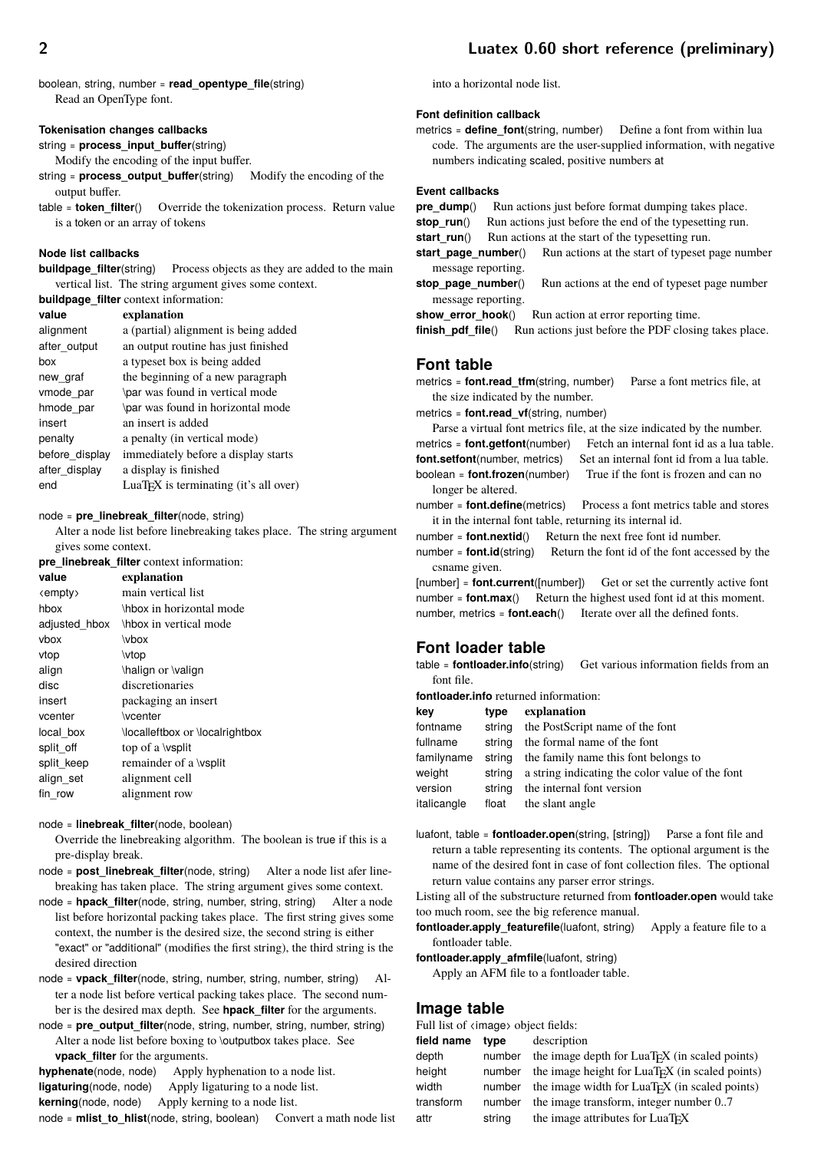boolean, string, number = **read\_opentype\_file**(string) Read an OpenType font.

## **Tokenisation changes callbacks**

string = **process\_input\_buffer**(string)

Modify the encoding of the input buffer.

string = **process** output buffer(string) Modify the encoding of the output buffer.

table = **token filter**() Override the tokenization process. Return value is a token or an array of tokens

### **Node list callbacks**

**buildpage** filter(string) Process objects as they are added to the main vertical list. The string argument gives some context.

#### **buildpage\_filter** context information: **value explanation**

|                | слрананон                                          |
|----------------|----------------------------------------------------|
| alignment      | a (partial) alignment is being added               |
| after output   | an output routine has just finished                |
| box            | a typeset box is being added                       |
| new graf       | the beginning of a new paragraph                   |
| vmode par      | \par was found in vertical mode                    |
| hmode par      | \par was found in horizontal mode                  |
| insert         | an insert is added                                 |
| penalty        | a penalty (in vertical mode)                       |
| before display | immediately before a display starts                |
| after display  | a display is finished                              |
| end            | LuaT <sub>E</sub> X is terminating (it's all over) |
|                |                                                    |

### node = **pre\_linebreak\_filter**(node, string)

Alter a node list before linebreaking takes place. The string argument gives some context.

**pre\_linebreak\_filter** context information:

| value                     | explanation                     |
|---------------------------|---------------------------------|
| $\langle$ empty $\rangle$ | main vertical list              |
| hbox                      | \hbox in horizontal mode        |
| adjusted_hbox             | \hbox in vertical mode          |
| vbox                      | \vbox                           |
| vtop                      | \vtop                           |
| align                     | \halign or \valign              |
| disc                      | discretionaries                 |
| insert                    | packaging an insert             |
| vcenter                   | \vcenter                        |
| local box                 | \localleftbox or \localrightbox |
| split off                 | top of a \vsplit                |
| split keep                | remainder of a \vsplit          |
| align_set                 | alignment cell                  |
| fin row                   | alignment row                   |
|                           |                                 |

node = **linebreak\_filter**(node, boolean)

Override the linebreaking algorithm. The boolean is true if this is a pre-display break.

- node = **post\_linebreak\_filter**(node, string) Alter a node list afer linebreaking has taken place. The string argument gives some context.
- node = **hpack\_filter**(node, string, number, string, string) Alter a node list before horizontal packing takes place. The first string gives some context, the number is the desired size, the second string is either "exact" or "additional" (modifies the first string), the third string is the desired direction

node = **vpack\_filter**(node, string, number, string, number, string) Alter a node list before vertical packing takes place. The second number is the desired max depth. See **hpack\_filter** for the arguments.

node = **pre\_output\_filter**(node, string, number, string, number, string) Alter a node list before boxing to \outputbox takes place. See **vpack\_filter** for the arguments.

**hyphenate**(node, node) Apply hyphenation to a node list. **ligaturing**(node, node) Apply ligaturing to a node list.

**kerning**(node, node) Apply kerning to a node list.

node = **mlist\_to\_hlist**(node, string, boolean) Convert a math node list

into a horizontal node list.

### **Font definition callback**

metrics = **define\_font**(string, number) Define a font from within lua code. The arguments are the user-supplied information, with negative numbers indicating scaled, positive numbers at

### **Event callbacks**

**pre\_dump**() Run actions just before format dumping takes place.

**stop run**() Run actions just before the end of the typesetting run.

**start run**() Run actions at the start of the typesetting run.

**start page number**() Run actions at the start of typeset page number message reporting.

**stop\_page\_number**() Run actions at the end of typeset page number message reporting.

**show error hook**() Run action at error reporting time.

**finish\_pdf\_file**() Run actions just before the PDF closing takes place.

## **Font table**

metrics = **font.read\_tfm**(string, number) Parse a font metrics file, at the size indicated by the number.

metrics = **font.read\_vf**(string, number)

Parse a virtual font metrics file, at the size indicated by the number. metrics = **font.getfont**(number) Fetch an internal font id as a lua table. **font.setfont**(number, metrics) Set an internal font id from a lua table.

boolean = **font.frozen**(number) True if the font is frozen and can no longer be altered.

number = **font.define**(metrics) Process a font metrics table and stores it in the internal font table, returning its internal id.

number = **font.nextid**() Return the next free font id number.

number = **font.id**(string) Return the font id of the font accessed by the csname given.

[number] = **font.current**([number]) Get or set the currently active font number = **font.max**() Return the highest used font id at this moment. number, metrics = **font.each**() Iterate over all the defined fonts.

# **Font loader table**<br>table = fontloader.info(string)

Get various information fields from an font file.

**fontloader.info** returned information:

| key         | tvpe   | explanation                                            |
|-------------|--------|--------------------------------------------------------|
| fontname    | strina | the PostScript name of the font                        |
| fullname    | strina | the formal name of the font                            |
| familyname  |        | string the family name this font belongs to            |
| weight      |        | string a string indicating the color value of the font |
| version     | strina | the internal font version                              |
| italicangle | float  | the slant angle                                        |

luafont, table = **fontloader.open**(string, [string]) Parse a font file and return a table representing its contents. The optional argument is the name of the desired font in case of font collection files. The optional return value contains any parser error strings.

Listing all of the substructure returned from **fontloader.open** would take too much room, see the big reference manual.

**fontloader.apply featurefile**(luafont, string) Apply a feature file to a fontloader table.

**fontloader.apply\_afmfile**(luafont, string)

Apply an AFM file to a fontloader table.

## **Image table**

| Full list of <image/> object fields: |        |                                                                   |  |
|--------------------------------------|--------|-------------------------------------------------------------------|--|
| field name                           | type   | description                                                       |  |
| depth                                | number | the image depth for LuaT <sub>F</sub> X (in scaled points)        |  |
| height                               | number | the image height for LuaT <sub>F</sub> X (in scaled points)       |  |
| width                                |        | number the image width for LuaT <sub>F</sub> X (in scaled points) |  |
| transform                            | number | the image transform, integer number 07                            |  |
| attr                                 | string | the image attributes for LuaT <sub>EX</sub>                       |  |
|                                      |        |                                                                   |  |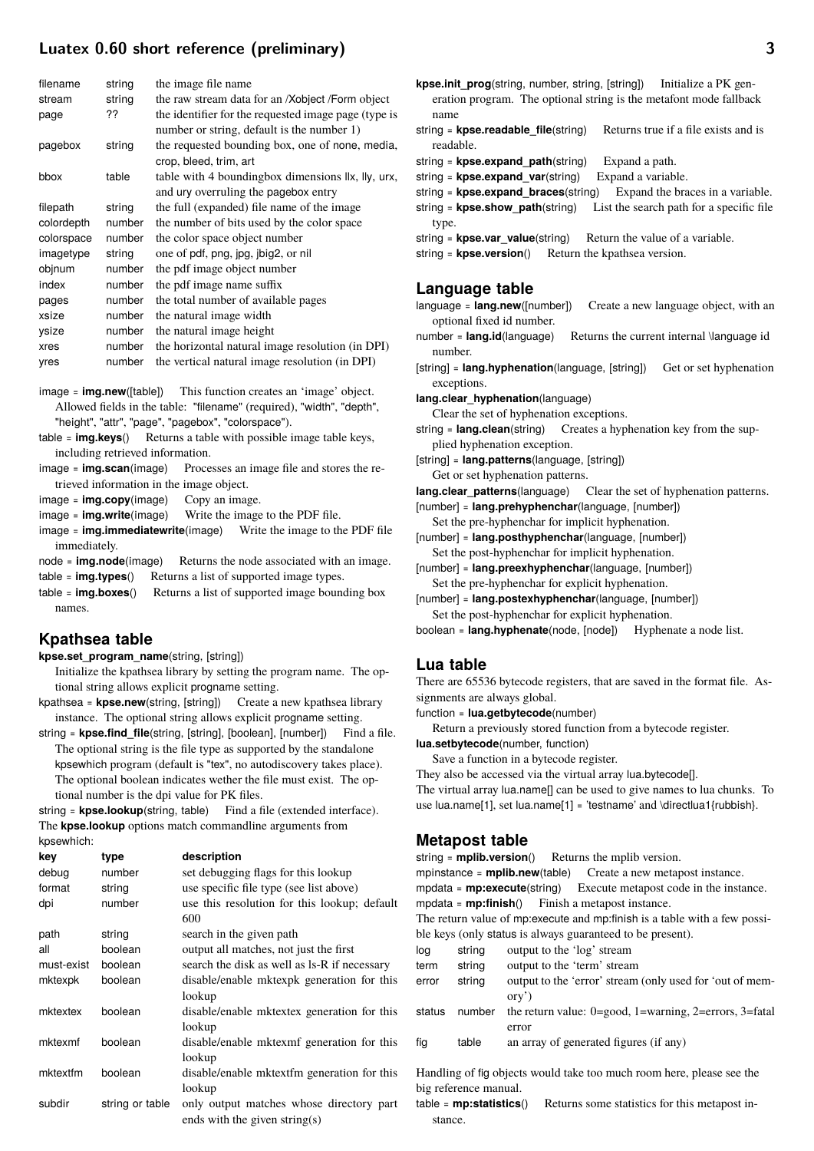| filename   | string | the image file name                                  |
|------------|--------|------------------------------------------------------|
| stream     | string | the raw stream data for an /Xobject /Form object     |
| page       | ??     | the identifier for the requested image page (type is |
|            |        | number or string, default is the number 1)           |
| pagebox    | string | the requested bounding box, one of none, media,      |
|            |        | crop, bleed, trim, art                               |
| bbox       | table  | table with 4 boundingbox dimensions llx, lly, urx,   |
|            |        | and ury overruling the pagebox entry                 |
| filepath   | string | the full (expanded) file name of the image           |
| colordepth | number | the number of bits used by the color space           |
| colorspace | number | the color space object number                        |
| imagetype  | string | one of pdf, png, jpg, jbig2, or nil                  |
| objnum     | number | the pdf image object number                          |
| index      | number | the pdf image name suffix                            |
| pages      | number | the total number of available pages                  |
| xsize      | number | the natural image width                              |
| ysize      | number | the natural image height                             |
| xres       | number | the horizontal natural image resolution (in DPI)     |
| yres       | number | the vertical natural image resolution (in DPI)       |

- image = **img.new**([table]) This function creates an 'image' object. Allowed fields in the table: "filename" (required), "width", "depth", "height", "attr", "page", "pagebox", "colorspace").
- table = **img.keys**() Returns a table with possible image table keys, including retrieved information.
- image = **img.scan**(image) Processes an image file and stores the retrieved information in the image object.
- image = **img.copy**(image) Copy an image.
- image = **img.write**(image) Write the image to the PDF file.
- image = **img.immediatewrite**(image) Write the image to the PDF file immediately.
- node = **img.node**(image) Returns the node associated with an image.

table = **img.types**() Returns a list of supported image types.

table = **img.boxes**() Returns a list of supported image bounding box names.

# **Kpathsea table**

**kpse.set\_program\_name**(string, [string])

Initialize the kpathsea library by setting the program name. The optional string allows explicit progname setting.

- kpathsea = **kpse.new**(string, [string]) Create a new kpathsea library instance. The optional string allows explicit progname setting.
- string = **kpse.find\_file**(string, [string], [boolean], [number]) Find a file. The optional string is the file type as supported by the standalone kpsewhich program (default is "tex", no autodiscovery takes place). The optional boolean indicates wether the file must exist. The optional number is the dpi value for PK files.

string = **kpse.lookup**(string, table) Find a file (extended interface). The **kpse.lookup** options match commandline arguments from kpsewhich:

| key        | type            | description                                  |
|------------|-----------------|----------------------------------------------|
| debug      | number          | set debugging flags for this lookup          |
| format     | string          | use specific file type (see list above)      |
| dpi        | number          | use this resolution for this lookup; default |
|            |                 | 600                                          |
| path       | string          | search in the given path                     |
| all        | boolean         | output all matches, not just the first       |
| must-exist | boolean         | search the disk as well as ls-R if necessary |
| mktexpk    | boolean         | disable/enable mktexpk generation for this   |
|            |                 | lookup                                       |
| mktextex   | boolean         | disable/enable mktextex generation for this  |
|            |                 | lookup                                       |
| mktexmf    | boolean         | disable/enable mktexmf generation for this   |
|            |                 | lookup                                       |
| mktextfm   | boolean         | disable/enable mktextfm generation for this  |
|            |                 | lookup                                       |
| subdir     | string or table | only output matches whose directory part     |
|            |                 | ends with the given string(s)                |

- **kpse.init\_prog**(string, number, string, [string]) Initialize a PK generation program. The optional string is the metafont mode fallback name
- string = **kpse.readable file**(string) Returns true if a file exists and is readable.
- string = **kpse.expand\_path**(string) Expand a path.
- string = **kpse.expand** var(string) Expand a variable.
- string = **kpse.expand braces**(string) Expand the braces in a variable.
- string = **kpse.show** path(string) List the search path for a specific file type.
- string = **kpse.var\_value**(string) Return the value of a variable.
- string = **kpse.version**() Return the kpathsea version.

## **Language table**

- language = **lang.new**([number]) Create a new language object, with an optional fixed id number.
- number = **lang.id**(language) Returns the current internal \language id number.
- [string] = **lang.hyphenation**(language, [string]) Get or set hyphenation exceptions.

**lang.clear\_hyphenation**(language)

Clear the set of hyphenation exceptions.

- string = **lang.clean**(string) Creates a hyphenation key from the supplied hyphenation exception.
- [string] = **lang.patterns**(language, [string])

Get or set hyphenation patterns.

- **lang.clear patterns**(language) Clear the set of hyphenation patterns.
- [number] = **lang.prehyphenchar**(language, [number]) Set the pre-hyphenchar for implicit hyphenation.
- [number] = **lang.posthyphenchar**(language, [number])
- Set the post-hyphenchar for implicit hyphenation. [number] = **lang.preexhyphenchar**(language, [number])
- Set the pre-hyphenchar for explicit hyphenation.

[number] = **lang.postexhyphenchar**(language, [number])

Set the post-hyphenchar for explicit hyphenation.

boolean = **lang.hyphenate**(node, [node]) Hyphenate a node list.

# **Lua table**

There are 65536 bytecode registers, that are saved in the format file. Assignments are always global.

function = **lua.getbytecode**(number)

Return a previously stored function from a bytecode register.

**lua.setbytecode**(number, function)

Save a function in a bytecode register.

They also be accessed via the virtual array lua.bytecode[].

The virtual array lua.name[] can be used to give names to lua chunks. To use lua.name[1], set lua.name[1] = 'testname' and \directlua1{rubbish}.

## **Metapost table**

string = **mplib.version**() Returns the mplib version.

mpinstance = **mplib.new**(table) Create a new metapost instance. mpdata = **mp:execute**(string) Execute metapost code in the instance. mpdata = **mp:finish**() Finish a metapost instance.

The return value of mp:execute and mp:finish is a table with a few possible keys (only status is always guaranteed to be present).

- log string output to the 'log' stream
- term string output to the 'term' stream
- error string output to the 'error' stream (only used for 'out of memory')
- status number the return value: 0=good, 1=warning, 2=errors, 3=fatal error
- fig table an array of generated figures (if any)

Handling of fig objects would take too much room here, please see the big reference manual.

table = **mp:statistics**() Returns some statistics for this metapost instance.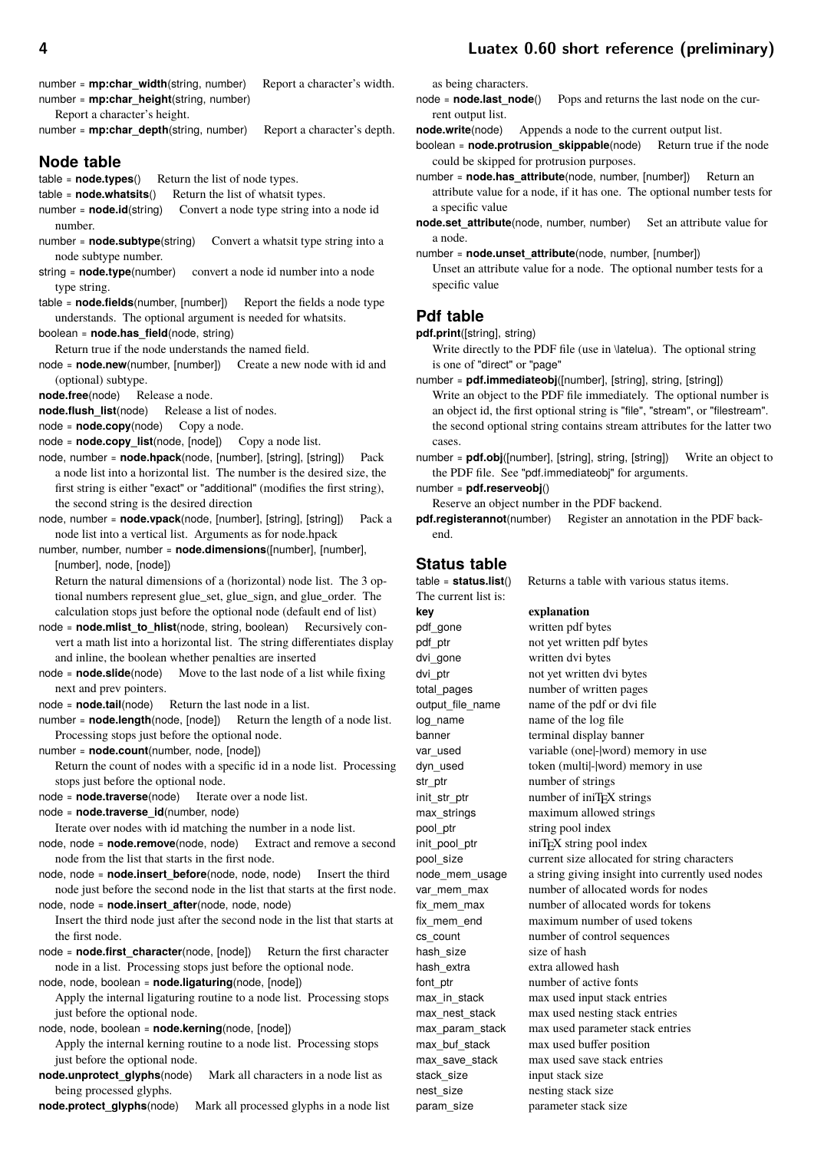number = **mp:char\_width**(string, number) Report a character's width. number = **mp:char\_height**(string, number) Report a character's height.

number = **mp:char\_depth**(string, number) Report a character's depth.

# **Node table**

- table = **node.types**() Return the list of node types.
- table = **node.whatsits**() Return the list of whatsit types.
- number = **node.id**(string) Convert a node type string into a node id number.
- number = **node.subtype**(string) Convert a whatsit type string into a node subtype number.
- string = **node.type**(number) convert a node id number into a node type string.
- table = **node.fields**(number, [number]) Report the fields a node type understands. The optional argument is needed for whatsits.

boolean = **node.has\_field**(node, string)

- Return true if the node understands the named field.
- node = **node.new**(number, [number]) Create a new node with id and (optional) subtype.
- **node.free**(node) Release a node.

**node.flush list**(node) Release a list of nodes.

- node = **node.copy**(node) Copy a node.
- node = **node.copy\_list**(node, [node]) Copy a node list.
- node, number = **node.hpack**(node, [number], [string], [string]) Pack a node list into a horizontal list. The number is the desired size, the first string is either "exact" or "additional" (modifies the first string), the second string is the desired direction
- node, number = **node.vpack**(node, [number], [string], [string]) Pack a node list into a vertical list. Arguments as for node.hpack
- number, number, number = **node.dimensions**([number], [number], [number], node, [node])

Return the natural dimensions of a (horizontal) node list. The 3 optional numbers represent glue\_set, glue\_sign, and glue\_order. The calculation stops just before the optional node (default end of list)

node = **node.mlist\_to\_hlist**(node, string, boolean) Recursively convert a math list into a horizontal list. The string differentiates display and inline, the boolean whether penalties are inserted

- node = **node.slide**(node) Move to the last node of a list while fixing next and prev pointers.
- node = **node.tail**(node) Return the last node in a list.
- number = **node.length**(node, [node]) Return the length of a node list. Processing stops just before the optional node.

number = **node.count**(number, node, [node])

- Return the count of nodes with a specific id in a node list. Processing stops just before the optional node.
- node = **node.traverse**(node) Iterate over a node list.

node = **node.traverse\_id**(number, node)

Iterate over nodes with id matching the number in a node list.

- node, node = **node.remove**(node, node) Extract and remove a second node from the list that starts in the first node.
- node, node = **node.insert\_before**(node, node, node) Insert the third node just before the second node in the list that starts at the first node.
- node, node = **node.insert\_after**(node, node, node) Insert the third node just after the second node in the list that starts at the first node.
- node = **node.first character**(node, [node]) Return the first character node in a list. Processing stops just before the optional node.

node, node, boolean = **node.ligaturing**(node, [node])

Apply the internal ligaturing routine to a node list. Processing stops just before the optional node.

node, node, boolean = **node.kerning**(node, [node])

Apply the internal kerning routine to a node list. Processing stops just before the optional node.

**node.unprotect\_glyphs**(node) Mark all characters in a node list as being processed glyphs.

**node.protect\_glyphs**(node) Mark all processed glyphs in a node list

as being characters.

- node = **node.last node**() Pops and returns the last node on the current output list.
- **node.write**(node) Appends a node to the current output list.
- boolean = **node.protrusion skippable**(node) Return true if the node could be skipped for protrusion purposes.
- number = **node.has attribute**(node, number, [number]) Return an attribute value for a node, if it has one. The optional number tests for a specific value

**node.set attribute**(node, number, number) Set an attribute value for a node.

number = **node.unset\_attribute**(node, number, [number])

Unset an attribute value for a node. The optional number tests for a specific value

# **Pdf table**

**pdf.print**([string], string)

Write directly to the PDF file (use in \latelua). The optional string is one of "direct" or "page"

number = **pdf.immediateobj**([number], [string], string, [string])

Write an object to the PDF file immediately. The optional number is an object id, the first optional string is "file", "stream", or "filestream". the second optional string contains stream attributes for the latter two cases.

number = **pdf.obj**([number], [string], string, [string]) Write an object to the PDF file. See "pdf.immediateobj" for arguments.

number = **pdf.reserveobj**()

- Reserve an object number in the PDF backend.
- **pdf.registerannot**(number) Register an annotation in the PDF backend.

## **Status table** table = **status.list**() Returns a table with various status items.

The current list is: **key explanation** pdf\_gone written pdf bytes

pdf\_ptr not yet written pdf bytes dvi\_gone written dvi bytes hash size size of hash param\_size parameter stack size

dvi\_ptr not yet written dvi bytes total\_pages number of written pages output\_file\_name name of the pdf or dvi file log name name of the log file banner terminal display banner var\_used variable (one|-|word) memory in use dyn\_used token (multi|-|word) memory in use str\_ptr number of strings init\_str\_ptr number of iniT<sub>E</sub>X strings max\_strings maximum allowed strings pool\_ptr string pool index init\_pool\_ptr iniTEX string pool index<br>pool\_size current size allocated for current size allocated for string characters node\_mem\_usage a string giving insight into currently used nodes var\_mem\_max number of allocated words for nodes fix\_mem\_max number of allocated words for tokens fix\_mem\_end maximum number of used tokens cs count number of control sequences hash extra extra allowed hash font ptr number of active fonts max in stack max used input stack entries max\_nest\_stack max used nesting stack entries max param stack max used parameter stack entries max buf stack max used buffer position max save stack max used save stack entries stack size input stack size nest size nesting stack size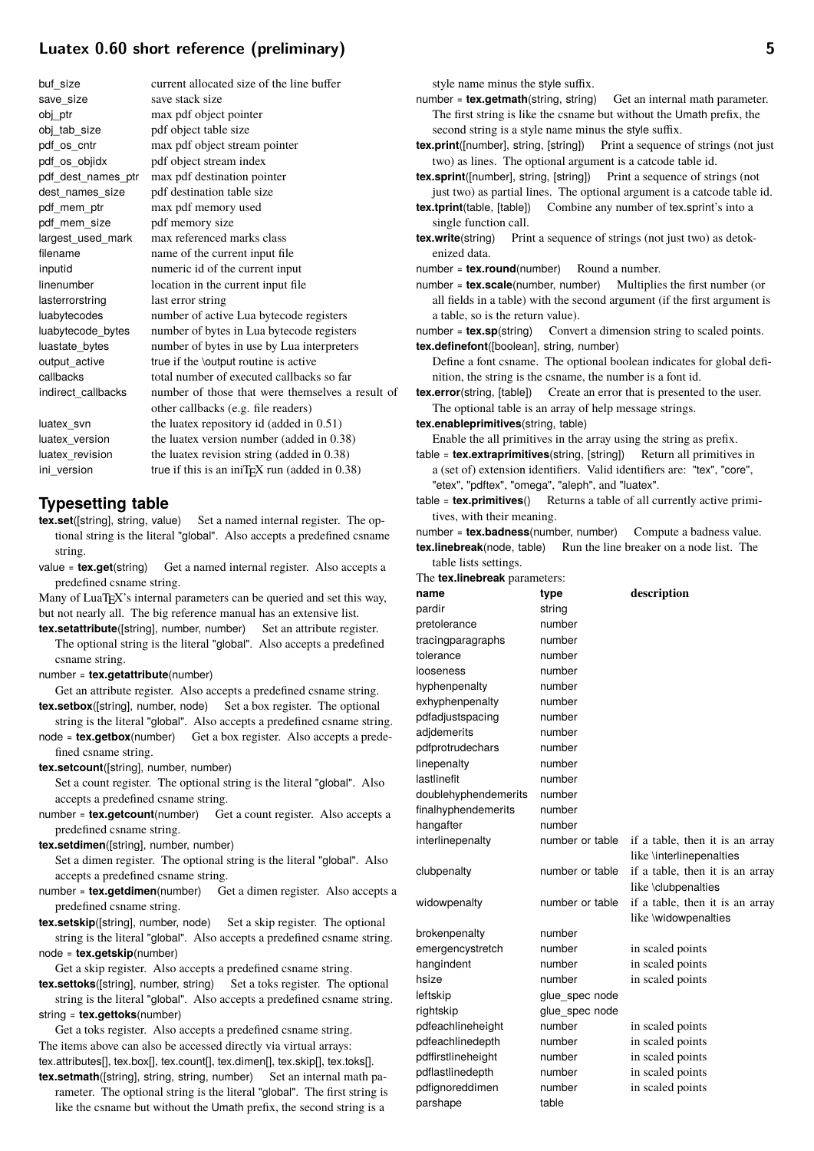buf\_size current allocated size of the line buffer save size save stack size obj\_ptr max pdf object pointer obj tab size pdf object table size pdf os cntr max pdf object stream pointer pdf os objidx pdf object stream index pdf\_dest\_names\_ptr max pdf destination pointer dest names size pdf destination table size pdf mem ptr max pdf memory used pdf mem size pdf memory size largest used mark max referenced marks class filename name of the current input file inputid numeric id of the current input linenumber location in the current input file lasterrorstring last error string luabytecodes number of active Lua bytecode registers luabytecode\_bytes number of bytes in Lua bytecode registers luastate\_bytes number of bytes in use by Lua interpreters output\_active true if the \output routine is active callbacks total number of executed callbacks so far indirect\_callbacks number of those that were themselves a result of other callbacks (e.g. file readers) luatex\_svn the luatex repository id (added in 0.51) luatex\_version the luatex version number (added in 0.38) luatex\_revision the luatex revision string (added in 0.38) ini\_version true if this is an iniTEX run (added in 0.38)

## **Typesetting table**

- **tex.set**([string], string, value) Set a named internal register. The optional string is the literal "global". Also accepts a predefined csname string.
- value = **tex.get**(string) Get a named internal register. Also accepts a predefined csname string.

Many of LuaT<sub>E</sub>X's internal parameters can be queried and set this way, but not nearly all. The big reference manual has an extensive list.

**tex.setattribute**([string], number, number) Set an attribute register. The optional string is the literal "global". Also accepts a predefined csname string.

number = **tex.getattribute**(number)

Get an attribute register. Also accepts a predefined csname string. **tex.setbox**([string], number, node) Set a box register. The optional

string is the literal "global". Also accepts a predefined csname string. node = **tex.getbox**(number) Get a box register. Also accepts a predefined csname string.

**tex.setcount**([string], number, number)

Set a count register. The optional string is the literal "global". Also accepts a predefined csname string.

number = **tex.getcount**(number) Get a count register. Also accepts a predefined csname string.

**tex.setdimen**([string], number, number)

Set a dimen register. The optional string is the literal "global". Also accepts a predefined csname string.

number = **tex.getdimen**(number) Get a dimen register. Also accepts a predefined csname string.

**tex.setskip**([string], number, node) Set a skip register. The optional string is the literal "global". Also accepts a predefined csname string. node = **tex.getskip**(number)

Get a skip register. Also accepts a predefined csname string.

**tex.settoks**([string], number, string) Set a toks register. The optional string is the literal "global". Also accepts a predefined csname string. string = **tex.gettoks**(number)

Get a toks register. Also accepts a predefined csname string. The items above can also be accessed directly via virtual arrays: tex.attributes[], tex.box[], tex.count[], tex.dimen[], tex.skip[], tex.toks[]. **tex.setmath**([string], string, string, number) Set an internal math pa-

rameter. The optional string is the literal "global". The first string is like the csname but without the Umath prefix, the second string is a

style name minus the style suffix.

number = **tex.getmath**(string, string) Get an internal math parameter. The first string is like the csname but without the Umath prefix, the second string is a style name minus the style suffix.

**tex.print**([number], string, [string]) Print a sequence of strings (not just two) as lines. The optional argument is a catcode table id.

**tex.sprint**([number], string, [string]) Print a sequence of strings (not just two) as partial lines. The optional argument is a catcode table id. **tex.tprint**(table, [table]) Combine any number of tex.sprint's into a

single function call. **tex.write**(string) Print a sequence of strings (not just two) as detok-

enized data.

number = **tex.round**(number) Round a number.

number = **tex.scale**(number, number) Multiplies the first number (or all fields in a table) with the second argument (if the first argument is a table, so is the return value).

number = **tex.sp**(string) Convert a dimension string to scaled points. **tex.definefont**([boolean], string, number)

Define a font csname. The optional boolean indicates for global definition, the string is the csname, the number is a font id.

**tex.error**(string, [table]) Create an error that is presented to the user. The optional table is an array of help message strings.

**tex.enableprimitives**(string, table)

Enable the all primitives in the array using the string as prefix.

table = **tex.extraprimitives**(string, [string]) Return all primitives in a (set of) extension identifiers. Valid identifiers are: "tex", "core", "etex", "pdftex", "omega", "aleph", and "luatex".

table = **tex.primitives**() Returns a table of all currently active primitives, with their meaning.

number = **tex.badness**(number, number) Compute a badness value. **tex.linebreak**(node, table) Run the line breaker on a node list. The table lists settings.

| The tex.linebreak parameters: |                 |                                 |
|-------------------------------|-----------------|---------------------------------|
| name                          | type            | description                     |
| pardir                        | string          |                                 |
| pretolerance                  | number          |                                 |
| tracingparagraphs             | number          |                                 |
| tolerance                     | number          |                                 |
| looseness                     | number          |                                 |
| hyphenpenalty                 | number          |                                 |
| exhyphenpenalty               | number          |                                 |
| pdfadjustspacing              | number          |                                 |
| adjdemerits                   | number          |                                 |
| pdfprotrudechars              | number          |                                 |
| linepenalty                   | number          |                                 |
| lastlinefit                   | number          |                                 |
| doublehyphendemerits          | number          |                                 |
| finalhyphendemerits           | number          |                                 |
| hangafter                     | number          |                                 |
| interlinepenalty              | number or table | if a table, then it is an array |
|                               |                 | like \interlinepenalties        |
| clubpenalty                   | number or table | if a table, then it is an array |
|                               |                 | like \clubpenalties             |
| widowpenalty                  | number or table | if a table, then it is an array |
|                               |                 | like \widowpenalties            |
| brokenpenalty                 | number          |                                 |
| emergencystretch              | number          | in scaled points                |
| hangindent                    | number          | in scaled points                |
| hsize                         | number          | in scaled points                |
| leftskip                      | glue_spec node  |                                 |
| rightskip                     | glue_spec node  |                                 |
| pdfeachlineheight             | number          | in scaled points                |
| pdfeachlinedepth              | number          | in scaled points                |
| pdffirstlineheight            | number          | in scaled points                |
| pdflastlinedepth              | number          | in scaled points                |
| pdfignoreddimen               | number          | in scaled points                |
| parshape                      | table           |                                 |